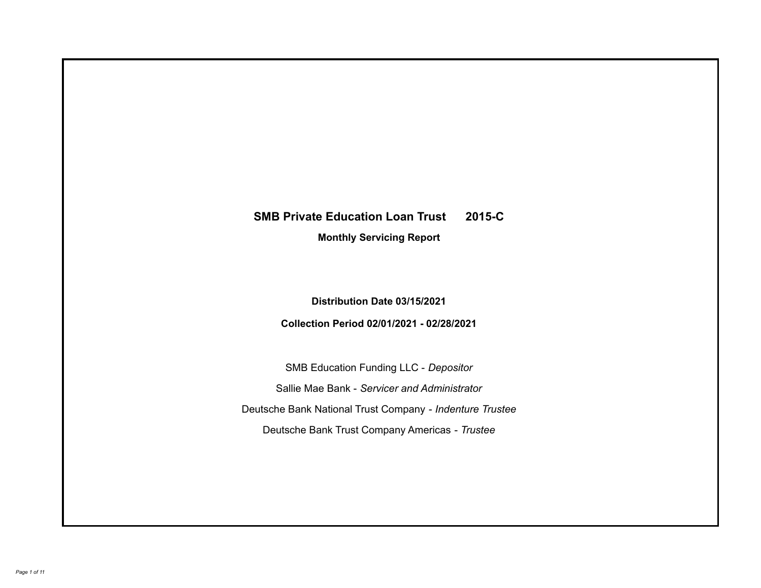# **SMB Private Education Loan Trust 2015-C**

**Monthly Servicing Report**

**Distribution Date 03/15/2021**

**Collection Period 02/01/2021 - 02/28/2021**

SMB Education Funding LLC - *Depositor* Sallie Mae Bank - *Servicer and Administrator* Deutsche Bank National Trust Company - *Indenture Trustee* Deutsche Bank Trust Company Americas - *Trustee*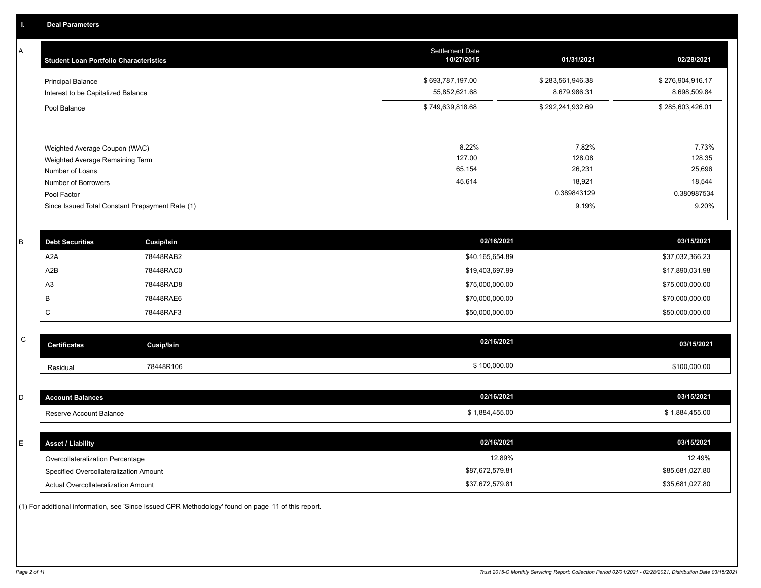A

| <b>Student Loan Portfolio Characteristics</b>                                                                             | <b>Settlement Date</b><br>10/27/2015 | 01/31/2021                                         | 02/28/2021                                         |
|---------------------------------------------------------------------------------------------------------------------------|--------------------------------------|----------------------------------------------------|----------------------------------------------------|
| <b>Principal Balance</b><br>Interest to be Capitalized Balance                                                            | \$693,787,197.00<br>55,852,621.68    | \$283,561,946.38<br>8,679,986.31                   | \$276,904,916.17<br>8,698,509.84                   |
| Pool Balance                                                                                                              | \$749,639,818.68                     | \$292,241,932.69                                   | \$285,603,426.01                                   |
| Weighted Average Coupon (WAC)<br>Weighted Average Remaining Term<br>Number of Loans<br>Number of Borrowers<br>Pool Factor | 8.22%<br>127.00<br>65,154<br>45,614  | 7.82%<br>128.08<br>26,231<br>18,921<br>0.389843129 | 7.73%<br>128.35<br>25,696<br>18,544<br>0.380987534 |
| Since Issued Total Constant Prepayment Rate (1)                                                                           |                                      | 9.19%                                              | 9.20%                                              |

| <b>Debt Securities</b> | <b>Cusip/Isin</b> | 02/16/2021      | 03/15/2021      |
|------------------------|-------------------|-----------------|-----------------|
| A <sub>2</sub> A       | 78448RAB2         | \$40,165,654.89 | \$37,032,366.23 |
| A2B                    | 78448RAC0         | \$19,403,697.99 | \$17,890,031.98 |
| A <sub>3</sub>         | 78448RAD8         | \$75,000,000.00 | \$75,000,000.00 |
|                        | 78448RAE6         | \$70,000,000.00 | \$70,000,000.00 |
|                        | 78448RAF3         | \$50,000,000.00 | \$50,000,000.00 |

| $\sim$<br>$\mathbf{\tilde{v}}$ | <b>Certificates</b> | Cusip/Isin | 02/16/2021   | 03/15/2021   |
|--------------------------------|---------------------|------------|--------------|--------------|
|                                | Residual            | 78448R106  | \$100,000.00 | \$100,000.00 |

| D  | <b>Account Balances</b>                | 02/16/2021      | 03/15/2021      |
|----|----------------------------------------|-----------------|-----------------|
|    | Reserve Account Balance                | \$1,884,455.00  | \$1,884,455.00  |
|    |                                        |                 |                 |
| E. | <b>Asset / Liability</b>               | 02/16/2021      | 03/15/2021      |
|    | Overcollateralization Percentage       | 12.89%          | 12.49%          |
|    | Specified Overcollateralization Amount | \$87,672,579.81 | \$85,681,027.80 |
|    | Actual Overcollateralization Amount    | \$37,672,579.81 | \$35,681,027.80 |

(1) For additional information, see 'Since Issued CPR Methodology' found on page 11 of this report.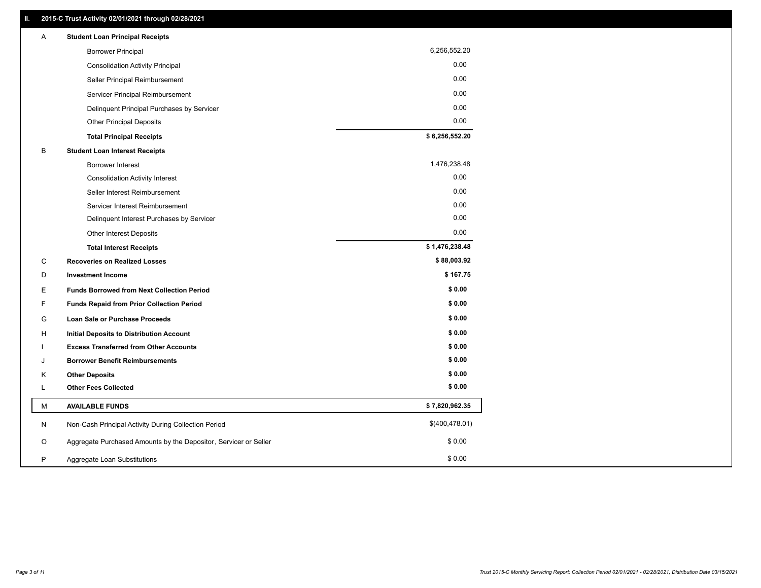| Α | <b>Student Loan Principal Receipts</b>                           |                |
|---|------------------------------------------------------------------|----------------|
|   | <b>Borrower Principal</b>                                        | 6,256,552.20   |
|   | <b>Consolidation Activity Principal</b>                          | 0.00           |
|   | Seller Principal Reimbursement                                   | 0.00           |
|   | Servicer Principal Reimbursement                                 | 0.00           |
|   | Delinquent Principal Purchases by Servicer                       | 0.00           |
|   | <b>Other Principal Deposits</b>                                  | 0.00           |
|   | <b>Total Principal Receipts</b>                                  | \$6,256,552.20 |
| B | <b>Student Loan Interest Receipts</b>                            |                |
|   | <b>Borrower Interest</b>                                         | 1,476,238.48   |
|   | <b>Consolidation Activity Interest</b>                           | 0.00           |
|   | Seller Interest Reimbursement                                    | 0.00           |
|   | Servicer Interest Reimbursement                                  | 0.00           |
|   | Delinquent Interest Purchases by Servicer                        | 0.00           |
|   | Other Interest Deposits                                          | 0.00           |
|   | <b>Total Interest Receipts</b>                                   | \$1,476,238.48 |
| С | <b>Recoveries on Realized Losses</b>                             | \$88,003.92    |
| D | <b>Investment Income</b>                                         | \$167.75       |
| E | <b>Funds Borrowed from Next Collection Period</b>                | \$0.00         |
| F | <b>Funds Repaid from Prior Collection Period</b>                 | \$0.00         |
| G | Loan Sale or Purchase Proceeds                                   | \$0.00         |
| H | Initial Deposits to Distribution Account                         | \$0.00         |
|   | <b>Excess Transferred from Other Accounts</b>                    | \$0.00         |
| J | <b>Borrower Benefit Reimbursements</b>                           | \$0.00         |
| ĸ | <b>Other Deposits</b>                                            | \$0.00         |
| Г | <b>Other Fees Collected</b>                                      | \$0.00         |
| М | <b>AVAILABLE FUNDS</b>                                           | \$7,820,962.35 |
| N | Non-Cash Principal Activity During Collection Period             | \$(400,478.01) |
| O | Aggregate Purchased Amounts by the Depositor, Servicer or Seller | \$0.00         |
| P | Aggregate Loan Substitutions                                     | \$0.00         |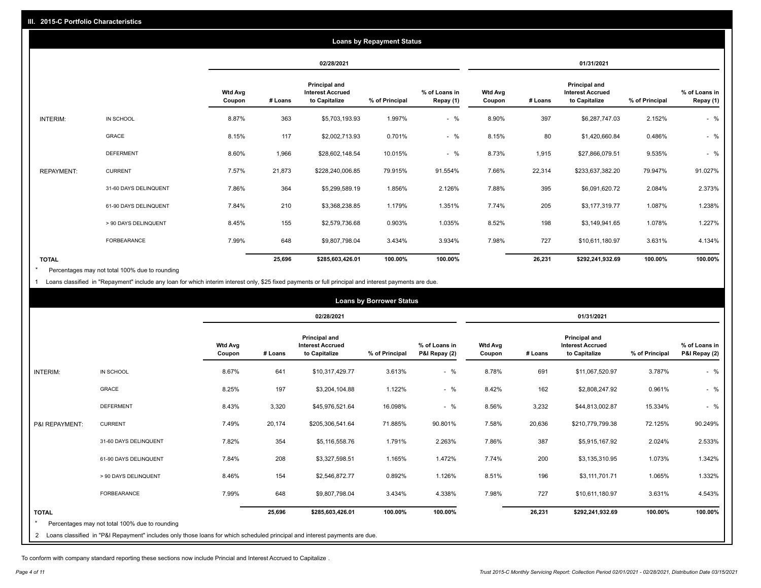|                   | <b>Loans by Repayment Status</b> |                          |         |                                                           |                |                            |                          |         |                                                                  |                |                            |
|-------------------|----------------------------------|--------------------------|---------|-----------------------------------------------------------|----------------|----------------------------|--------------------------|---------|------------------------------------------------------------------|----------------|----------------------------|
|                   |                                  |                          |         | 02/28/2021                                                |                |                            |                          |         | 01/31/2021                                                       |                |                            |
|                   |                                  | <b>Wtd Avg</b><br>Coupon | # Loans | Principal and<br><b>Interest Accrued</b><br>to Capitalize | % of Principal | % of Loans in<br>Repay (1) | <b>Wtd Avg</b><br>Coupon | # Loans | <b>Principal and</b><br><b>Interest Accrued</b><br>to Capitalize | % of Principal | % of Loans in<br>Repay (1) |
| INTERIM:          | IN SCHOOL                        | 8.87%                    | 363     | \$5,703,193.93                                            | 1.997%         | $-$ %                      | 8.90%                    | 397     | \$6,287,747.03                                                   | 2.152%         | $-$ %                      |
|                   | <b>GRACE</b>                     | 8.15%                    | 117     | \$2,002,713.93                                            | 0.701%         | $-$ %                      | 8.15%                    | 80      | \$1,420,660.84                                                   | 0.486%         | $-$ %                      |
|                   | <b>DEFERMENT</b>                 | 8.60%                    | 1,966   | \$28,602,148.54                                           | 10.015%        | $-$ %                      | 8.73%                    | 1,915   | \$27,866,079.51                                                  | 9.535%         | $-$ %                      |
| <b>REPAYMENT:</b> | <b>CURRENT</b>                   | 7.57%                    | 21,873  | \$228,240,006.85                                          | 79.915%        | 91.554%                    | 7.66%                    | 22,314  | \$233,637,382.20                                                 | 79.947%        | 91.027%                    |
|                   | 31-60 DAYS DELINQUENT            | 7.86%                    | 364     | \$5,299,589.19                                            | 1.856%         | 2.126%                     | 7.88%                    | 395     | \$6,091,620.72                                                   | 2.084%         | 2.373%                     |
|                   | 61-90 DAYS DELINQUENT            | 7.84%                    | 210     | \$3,368,238.85                                            | 1.179%         | 1.351%                     | 7.74%                    | 205     | \$3,177,319.77                                                   | 1.087%         | 1.238%                     |
|                   | > 90 DAYS DELINQUENT             | 8.45%                    | 155     | \$2,579,736.68                                            | 0.903%         | 1.035%                     | 8.52%                    | 198     | \$3,149,941.65                                                   | 1.078%         | 1.227%                     |
|                   | <b>FORBEARANCE</b>               | 7.99%                    | 648     | \$9,807,798.04                                            | 3.434%         | 3.934%                     | 7.98%                    | 727     | \$10,611,180.97                                                  | 3.631%         | 4.134%                     |
| <b>TOTAL</b>      |                                  |                          | 25,696  | \$285,603,426.01                                          | 100.00%        | 100.00%                    |                          | 26,231  | \$292,241,932.69                                                 | 100.00%        | 100.00%                    |

Percentages may not total 100% due to rounding \*

1 Loans classified in "Repayment" include any loan for which interim interest only, \$25 fixed payments or full principal and interest payments are due.

| <b>Loans by Borrower Status</b> |                                                |                          |         |                                                                  |                                                                                                                            |                                |                          |         |                                                           |                |                                |  |  |
|---------------------------------|------------------------------------------------|--------------------------|---------|------------------------------------------------------------------|----------------------------------------------------------------------------------------------------------------------------|--------------------------------|--------------------------|---------|-----------------------------------------------------------|----------------|--------------------------------|--|--|
|                                 |                                                |                          |         | 02/28/2021                                                       |                                                                                                                            |                                | 01/31/2021               |         |                                                           |                |                                |  |  |
|                                 |                                                | <b>Wtd Avg</b><br>Coupon | # Loans | <b>Principal and</b><br><b>Interest Accrued</b><br>to Capitalize | % of Principal                                                                                                             | % of Loans in<br>P&I Repay (2) | <b>Wtd Avg</b><br>Coupon | # Loans | Principal and<br><b>Interest Accrued</b><br>to Capitalize | % of Principal | % of Loans in<br>P&I Repay (2) |  |  |
| INTERIM:                        | IN SCHOOL                                      | 8.67%                    | 641     | \$10,317,429.77                                                  | 3.613%                                                                                                                     | $-$ %                          | 8.78%                    | 691     | \$11,067,520.97                                           | 3.787%         | $-$ %                          |  |  |
|                                 | GRACE                                          | 8.25%                    | 197     | \$3,204,104.88                                                   | 1.122%                                                                                                                     | $-$ %                          | 8.42%                    | 162     | \$2,808,247.92                                            | 0.961%         | $-$ %                          |  |  |
|                                 | <b>DEFERMENT</b>                               | 8.43%                    | 3,320   | \$45,976,521.64                                                  | 16.098%                                                                                                                    | $-$ %                          | 8.56%                    | 3,232   | \$44,813,002.87                                           | 15.334%        | $-$ %                          |  |  |
| P&I REPAYMENT:                  | <b>CURRENT</b>                                 | 7.49%                    | 20,174  | \$205,306,541.64                                                 | 71.885%                                                                                                                    | 90.801%                        | 7.58%                    | 20,636  | \$210,779,799.38                                          | 72.125%        | 90.249%                        |  |  |
|                                 | 31-60 DAYS DELINQUENT                          | 7.82%                    | 354     | \$5,116,558.76                                                   | 1.791%                                                                                                                     | 2.263%                         | 7.86%                    | 387     | \$5,915,167.92                                            | 2.024%         | 2.533%                         |  |  |
|                                 | 61-90 DAYS DELINQUENT                          | 7.84%                    | 208     | \$3,327,598.51                                                   | 1.165%                                                                                                                     | 1.472%                         | 7.74%                    | 200     | \$3,135,310.95                                            | 1.073%         | 1.342%                         |  |  |
|                                 | > 90 DAYS DELINQUENT                           | 8.46%                    | 154     | \$2,546,872.77                                                   | 0.892%                                                                                                                     | 1.126%                         | 8.51%                    | 196     | \$3,111,701.71                                            | 1.065%         | 1.332%                         |  |  |
|                                 | FORBEARANCE                                    | 7.99%                    | 648     | \$9,807,798.04                                                   | 3.434%                                                                                                                     | 4.338%                         | 7.98%                    | 727     | \$10,611,180.97                                           | 3.631%         | 4.543%                         |  |  |
| <b>TOTAL</b>                    |                                                |                          | 25,696  | \$285,603,426.01                                                 | 100.00%                                                                                                                    | 100.00%                        |                          | 26,231  | \$292,241,932.69                                          | 100.00%        | 100.00%                        |  |  |
|                                 | Percentages may not total 100% due to rounding |                          |         |                                                                  |                                                                                                                            |                                |                          |         |                                                           |                |                                |  |  |
| $\overline{2}$                  |                                                |                          |         |                                                                  | Loans classified in "P&I Repayment" includes only those loans for which scheduled principal and interest payments are due. |                                |                          |         |                                                           |                |                                |  |  |

To conform with company standard reporting these sections now include Princial and Interest Accrued to Capitalize .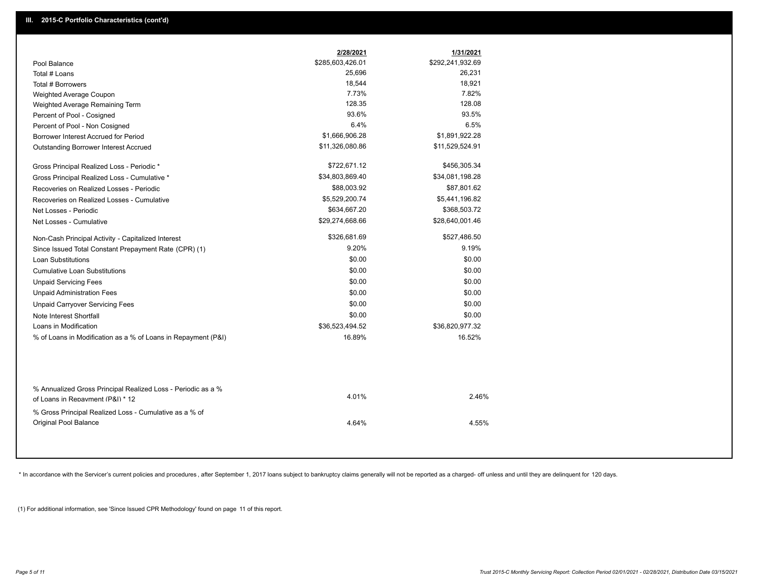|                                                                                                  | 2/28/2021        | 1/31/2021        |  |
|--------------------------------------------------------------------------------------------------|------------------|------------------|--|
| Pool Balance                                                                                     | \$285,603,426.01 | \$292,241,932.69 |  |
| Total # Loans                                                                                    | 25,696           | 26,231           |  |
| Total # Borrowers                                                                                | 18,544           | 18,921           |  |
| Weighted Average Coupon                                                                          | 7.73%            | 7.82%            |  |
| Weighted Average Remaining Term                                                                  | 128.35           | 128.08           |  |
| Percent of Pool - Cosigned                                                                       | 93.6%            | 93.5%            |  |
| Percent of Pool - Non Cosigned                                                                   | 6.4%             | 6.5%             |  |
| Borrower Interest Accrued for Period                                                             | \$1,666,906.28   | \$1,891,922.28   |  |
| Outstanding Borrower Interest Accrued                                                            | \$11,326,080.86  | \$11,529,524.91  |  |
| Gross Principal Realized Loss - Periodic *                                                       | \$722,671.12     | \$456,305.34     |  |
| Gross Principal Realized Loss - Cumulative *                                                     | \$34,803,869.40  | \$34,081,198.28  |  |
| Recoveries on Realized Losses - Periodic                                                         | \$88,003.92      | \$87,801.62      |  |
| Recoveries on Realized Losses - Cumulative                                                       | \$5,529,200.74   | \$5,441,196.82   |  |
| Net Losses - Periodic                                                                            | \$634,667.20     | \$368,503.72     |  |
| Net Losses - Cumulative                                                                          | \$29,274,668.66  | \$28,640,001.46  |  |
| Non-Cash Principal Activity - Capitalized Interest                                               | \$326,681.69     | \$527,486.50     |  |
| Since Issued Total Constant Prepayment Rate (CPR) (1)                                            | 9.20%            | 9.19%            |  |
| <b>Loan Substitutions</b>                                                                        | \$0.00           | \$0.00           |  |
| <b>Cumulative Loan Substitutions</b>                                                             | \$0.00           | \$0.00           |  |
| <b>Unpaid Servicing Fees</b>                                                                     | \$0.00           | \$0.00           |  |
| <b>Unpaid Administration Fees</b>                                                                | \$0.00           | \$0.00           |  |
| <b>Unpaid Carryover Servicing Fees</b>                                                           | \$0.00           | \$0.00           |  |
| Note Interest Shortfall                                                                          | \$0.00           | \$0.00           |  |
| Loans in Modification                                                                            | \$36,523,494.52  | \$36,820,977.32  |  |
| % of Loans in Modification as a % of Loans in Repayment (P&I)                                    | 16.89%           | 16.52%           |  |
|                                                                                                  |                  |                  |  |
| % Annualized Gross Principal Realized Loss - Periodic as a %<br>of Loans in Repayment (P&I) * 12 | 4.01%            | 2.46%            |  |
| % Gross Principal Realized Loss - Cumulative as a % of                                           |                  |                  |  |

\* In accordance with the Servicer's current policies and procedures, after September 1, 2017 loans subject to bankruptcy claims generally will not be reported as a charged- off unless and until they are delinquent for 120

4.64% 4.55%

(1) For additional information, see 'Since Issued CPR Methodology' found on page 11 of this report.

Original Pool Balance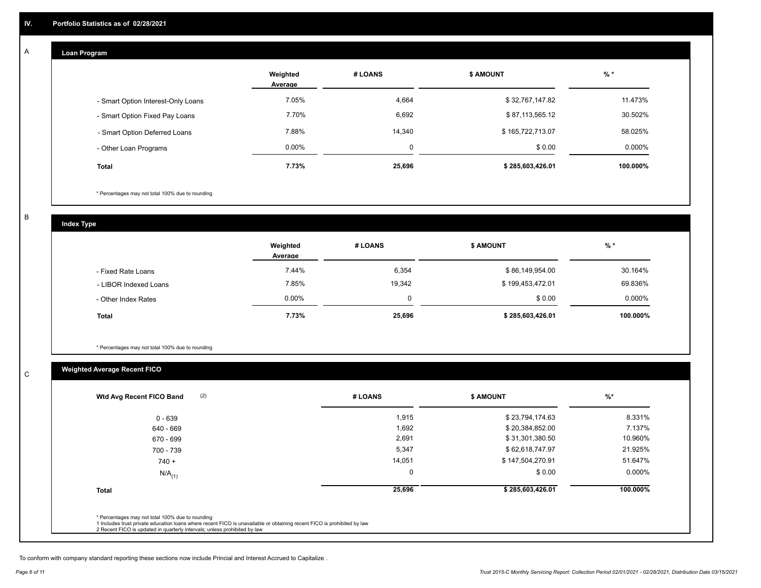#### **Loan Program**  A

|                                    | Weighted<br>Average | # LOANS | <b>\$ AMOUNT</b> | $%$ *    |
|------------------------------------|---------------------|---------|------------------|----------|
| - Smart Option Interest-Only Loans | 7.05%               | 4,664   | \$32,767,147.82  | 11.473%  |
| - Smart Option Fixed Pay Loans     | 7.70%               | 6,692   | \$87,113,565.12  | 30.502%  |
| - Smart Option Deferred Loans      | 7.88%               | 14.340  | \$165,722,713.07 | 58.025%  |
| - Other Loan Programs              | $0.00\%$            | 0       | \$0.00           | 0.000%   |
| <b>Total</b>                       | 7.73%               | 25,696  | \$285,603,426.01 | 100.000% |

\* Percentages may not total 100% due to rounding

B

C

**Index Type**

|                       | Weighted<br>Average | # LOANS | <b>\$ AMOUNT</b> | % *      |
|-----------------------|---------------------|---------|------------------|----------|
| - Fixed Rate Loans    | 7.44%               | 6,354   | \$86,149,954.00  | 30.164%  |
| - LIBOR Indexed Loans | 7.85%               | 19,342  | \$199,453,472.01 | 69.836%  |
| - Other Index Rates   | $0.00\%$            | 0       | \$0.00           | 0.000%   |
| <b>Total</b>          | 7.73%               | 25,696  | \$285,603,426.01 | 100.000% |

\* Percentages may not total 100% due to rounding

### **Weighted Average Recent FICO**

| (2)<br>Wtd Avg Recent FICO Band | # LOANS | <b>\$ AMOUNT</b> | $\frac{9}{6}$ * |
|---------------------------------|---------|------------------|-----------------|
| 0 - 639                         | 1,915   | \$23,794,174.63  | 8.331%          |
| 640 - 669                       | 1,692   | \$20,384,852.00  | 7.137%          |
| 670 - 699                       | 2,691   | \$31,301,380.50  | 10.960%         |
| 700 - 739                       | 5,347   | \$62,618,747.97  | 21.925%         |
| $740 +$                         | 14,051  | \$147,504,270.91 | 51.647%         |
| $N/A$ <sub>(1)</sub>            |         | \$0.00           | $0.000\%$       |
| <b>Total</b>                    | 25,696  | \$285,603,426.01 | 100.000%        |
|                                 |         |                  |                 |

To conform with company standard reporting these sections now include Princial and Interest Accrued to Capitalize .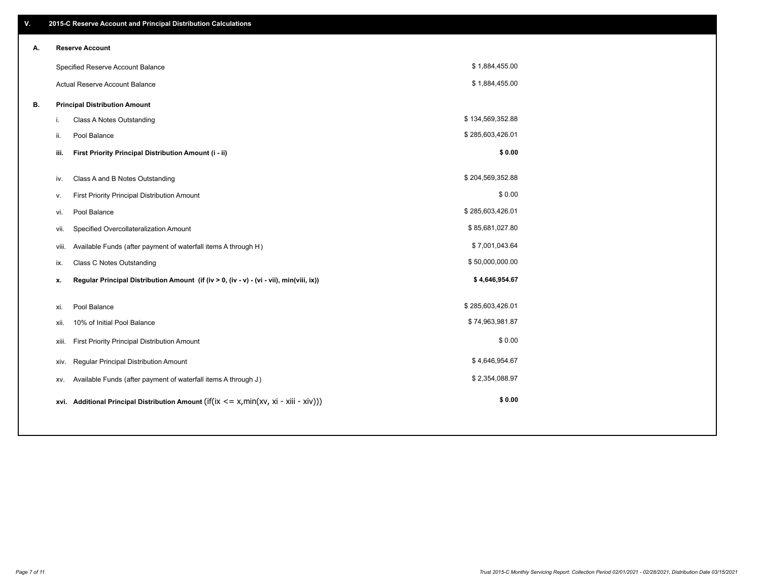| V. |                        | 2015-C Reserve Account and Principal Distribution Calculations                             |                  |  |  |  |  |  |  |
|----|------------------------|--------------------------------------------------------------------------------------------|------------------|--|--|--|--|--|--|
| А. | <b>Reserve Account</b> |                                                                                            |                  |  |  |  |  |  |  |
|    |                        | Specified Reserve Account Balance                                                          | \$1,884,455.00   |  |  |  |  |  |  |
|    |                        | Actual Reserve Account Balance                                                             | \$1,884,455.00   |  |  |  |  |  |  |
| В. |                        | <b>Principal Distribution Amount</b>                                                       |                  |  |  |  |  |  |  |
|    | i.                     | Class A Notes Outstanding                                                                  | \$134,569,352.88 |  |  |  |  |  |  |
|    | ii.                    | Pool Balance                                                                               | \$285,603,426.01 |  |  |  |  |  |  |
|    | iii.                   | First Priority Principal Distribution Amount (i - ii)                                      | \$0.00           |  |  |  |  |  |  |
|    |                        |                                                                                            |                  |  |  |  |  |  |  |
|    | iv.                    | Class A and B Notes Outstanding                                                            | \$204,569,352.88 |  |  |  |  |  |  |
|    | v.                     | First Priority Principal Distribution Amount                                               | \$0.00           |  |  |  |  |  |  |
|    | vi.                    | Pool Balance                                                                               | \$285,603,426.01 |  |  |  |  |  |  |
|    | vii.                   | Specified Overcollateralization Amount                                                     | \$85,681,027.80  |  |  |  |  |  |  |
|    | viii.                  | Available Funds (after payment of waterfall items A through H)                             | \$7,001,043.64   |  |  |  |  |  |  |
|    | ix.                    | <b>Class C Notes Outstanding</b>                                                           | \$50,000,000.00  |  |  |  |  |  |  |
|    | х.                     | Regular Principal Distribution Amount (if (iv > 0, (iv - v) - (vi - vii), min(viii, ix))   | \$4,646,954.67   |  |  |  |  |  |  |
|    | xi.                    | Pool Balance                                                                               | \$285,603,426.01 |  |  |  |  |  |  |
|    |                        |                                                                                            |                  |  |  |  |  |  |  |
|    | xii.                   | 10% of Initial Pool Balance                                                                | \$74,963,981.87  |  |  |  |  |  |  |
|    | xiii.                  | First Priority Principal Distribution Amount                                               | \$0.00           |  |  |  |  |  |  |
|    | xiv.                   | Regular Principal Distribution Amount                                                      | \$4,646,954.67   |  |  |  |  |  |  |
|    | XV.                    | Available Funds (after payment of waterfall items A through J)                             | \$2,354,088.97   |  |  |  |  |  |  |
|    |                        | xvi. Additional Principal Distribution Amount (if(ix $\lt$ = x, min(xv, xi - xiii - xiv))) | \$0.00           |  |  |  |  |  |  |
|    |                        |                                                                                            |                  |  |  |  |  |  |  |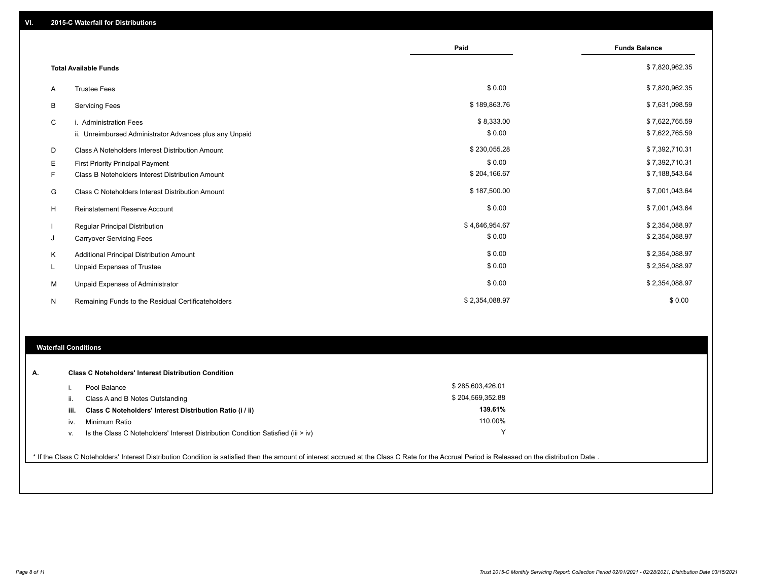|   |                                                         | Paid           | <b>Funds Balance</b> |
|---|---------------------------------------------------------|----------------|----------------------|
|   | <b>Total Available Funds</b>                            |                | \$7,820,962.35       |
| A | <b>Trustee Fees</b>                                     | \$0.00         | \$7,820,962.35       |
| B | <b>Servicing Fees</b>                                   | \$189,863.76   | \$7,631,098.59       |
| C | i. Administration Fees                                  | \$8,333.00     | \$7,622,765.59       |
|   | ii. Unreimbursed Administrator Advances plus any Unpaid | \$0.00         | \$7,622,765.59       |
| D | Class A Noteholders Interest Distribution Amount        | \$230,055.28   | \$7,392,710.31       |
| Е | <b>First Priority Principal Payment</b>                 | \$0.00         | \$7,392,710.31       |
| F | Class B Noteholders Interest Distribution Amount        | \$204,166.67   | \$7,188,543.64       |
| G | <b>Class C Noteholders Interest Distribution Amount</b> | \$187,500.00   | \$7,001,043.64       |
| H | <b>Reinstatement Reserve Account</b>                    | \$0.00         | \$7,001,043.64       |
|   | <b>Regular Principal Distribution</b>                   | \$4,646,954.67 | \$2,354,088.97       |
| J | <b>Carryover Servicing Fees</b>                         | \$0.00         | \$2,354,088.97       |
| Κ | Additional Principal Distribution Amount                | \$0.00         | \$2,354,088.97       |
| L | Unpaid Expenses of Trustee                              | \$0.00         | \$2,354,088.97       |
| M | Unpaid Expenses of Administrator                        | \$0.00         | \$2,354,088.97       |
| N | Remaining Funds to the Residual Certificateholders      | \$2,354,088.97 | \$0.00               |

### **Waterfall Conditions**

| А. |      | <b>Class C Noteholders' Interest Distribution Condition</b>                      |                  |  |
|----|------|----------------------------------------------------------------------------------|------------------|--|
|    |      | Pool Balance                                                                     | \$285,603,426.01 |  |
|    | н.   | Class A and B Notes Outstanding                                                  | \$204,569,352.88 |  |
|    | iii. | Class C Noteholders' Interest Distribution Ratio (i / ii)                        | 139.61%          |  |
|    | iv.  | Minimum Ratio                                                                    | 110.00%          |  |
|    | v.   | Is the Class C Noteholders' Interest Distribution Condition Satisfied (iii > iv) |                  |  |
|    |      |                                                                                  |                  |  |

\* If the Class C Noteholders' Interest Distribution Condition is satisfied then the amount of interest accrued at the Class C Rate for the Accrual Period is Released on the distribution Date .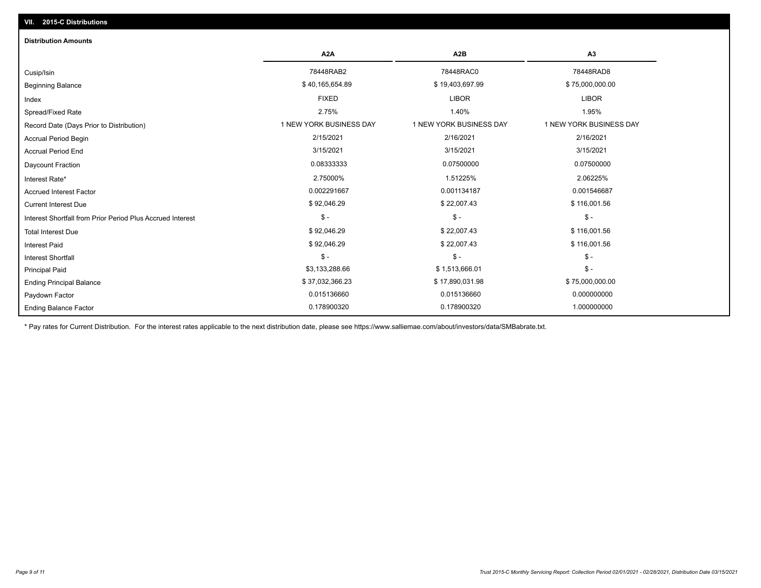## Ending Balance Factor Paydown Factor 0.015136660 0.015136660 0.000000000 Ending Principal Balance \$ 75,000,000.00 \$ \$ 37,032,366.23 \$ \$ 17,890,031.98 \$ 17,890,031.98 \$ 75,000,000.00 Principal Paid \$3,133,288.66 \$ 1,513,666.01 \$ - \$ - \$ - \$ - Interest Shortfall \$ 92,046.29 \$ 22,007.43 \$ 116,001.56 Interest Paid Total Interest Due \$ 92,046.29 \$ 22,007.43 \$ 116,001.56 \$ - \$ - \$ - Interest Shortfall from Prior Period Plus Accrued Interest Current Interest Due \$ 92,046.29 \$ 22,007.43 \$ 116,001.56 Accrued Interest Factor 0.002291667 0.001134187 0.001546687 Interest Rate\* 2.75000% 1.51225% 2.06225% Daycount Fraction 0.08333333 0.07500000 0.07500000 Accrual Period End 3/15/2021 3/15/2021 3/15/2021 Accrual Period Begin 2/15/2021 2/16/2021 2/16/2021 Record Date (Days Prior to Distribution) **1 NEW YORK BUSINESS DAY** 1 NEW YORK BUSINESS DAY 1 NEW YORK BUSINESS DAY Spread/Fixed Rate 2.75% 1.40% 1.95% Index FIXED LIBOR LIBOR Beginning Balance \$ 40,165,654.89 \$ 19,403,697.99 \$ 75,000,000.00 Cusip/Isin 78448RAB2 78448RAC0 78448RAD8 **A2A A2B A3** 0.178900320 0.178900320 1.000000000 **Distribution Amounts**

\* Pay rates for Current Distribution. For the interest rates applicable to the next distribution date, please see https://www.salliemae.com/about/investors/data/SMBabrate.txt.

**VII. 2015-C Distributions**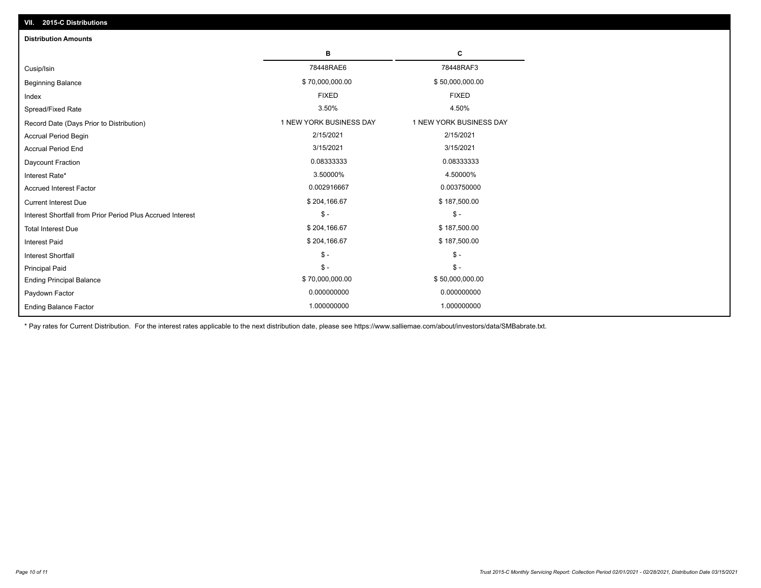| VII. 2015-C Distributions                                  |                         |                         |  |  |  |
|------------------------------------------------------------|-------------------------|-------------------------|--|--|--|
| <b>Distribution Amounts</b>                                |                         |                         |  |  |  |
|                                                            | в                       | С                       |  |  |  |
| Cusip/Isin                                                 | 78448RAE6               | 78448RAF3               |  |  |  |
| <b>Beginning Balance</b>                                   | \$70,000,000.00         | \$50,000,000.00         |  |  |  |
| Index                                                      | <b>FIXED</b>            | <b>FIXED</b>            |  |  |  |
| Spread/Fixed Rate                                          | 3.50%                   | 4.50%                   |  |  |  |
| Record Date (Days Prior to Distribution)                   | 1 NEW YORK BUSINESS DAY | 1 NEW YORK BUSINESS DAY |  |  |  |
| Accrual Period Begin                                       | 2/15/2021               | 2/15/2021               |  |  |  |
| <b>Accrual Period End</b>                                  | 3/15/2021               | 3/15/2021               |  |  |  |
| Daycount Fraction                                          | 0.08333333              | 0.08333333              |  |  |  |
| Interest Rate*                                             | 3.50000%                | 4.50000%                |  |  |  |
| <b>Accrued Interest Factor</b>                             | 0.002916667             | 0.003750000             |  |  |  |
| <b>Current Interest Due</b>                                | \$204,166.67            | \$187,500.00            |  |  |  |
| Interest Shortfall from Prior Period Plus Accrued Interest | $\mathcal{S}$ -         | $\mathcal{S}$ -         |  |  |  |
| <b>Total Interest Due</b>                                  | \$204,166.67            | \$187,500.00            |  |  |  |
| <b>Interest Paid</b>                                       | \$204,166.67            | \$187,500.00            |  |  |  |
| <b>Interest Shortfall</b>                                  | $\mathcal{S}$ -         | $\mathbb{S}$ -          |  |  |  |
| <b>Principal Paid</b>                                      | $\mathsf{\$}$ -         | $$ -$                   |  |  |  |
| <b>Ending Principal Balance</b>                            | \$70,000,000.00         | \$50,000,000.00         |  |  |  |
| Paydown Factor                                             | 0.000000000             | 0.000000000             |  |  |  |
| <b>Ending Balance Factor</b>                               | 1.000000000             | 1.000000000             |  |  |  |

\* Pay rates for Current Distribution. For the interest rates applicable to the next distribution date, please see https://www.salliemae.com/about/investors/data/SMBabrate.txt.